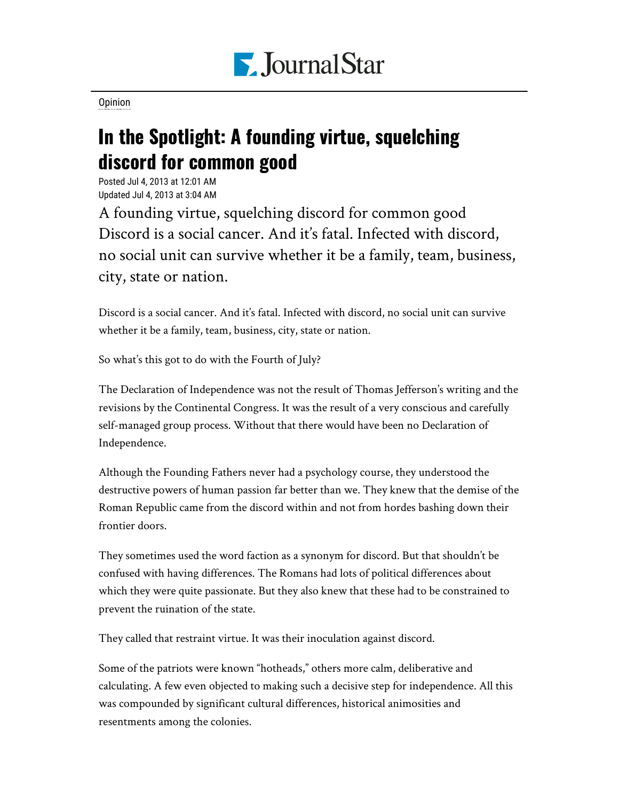

[Opinion](https://www.pjstar.com/search?text=Opinion)

## In the Spotlight: A founding virtue, squelching discord for common good

Posted Jul 4, 2013 at 12:01 AM Updated Jul 4, 2013 at 3:04 AM

A founding virtue, squelching discord for common good Discord is a social cancer. And it's fatal. Infected with discord, no social unit can survive whether it be a family, team, business, city, state or nation.

Discord is a social cancer. And it's fatal. Infected with discord, no social unit can survive whether it be a family, team, business, city, state or nation.

So what's this got to do with the Fourth of July?

The Declaration of Independence was not the result of Thomas Jefferson's writing and the revisions by the Continental Congress. It was the result of a very conscious and carefully self-managed group process. Without that there would have been no Declaration of Independence.

Although the Founding Fathers never had a psychology course, they understood the destructive powers of human passion far better than we. They knew that the demise of the Roman Republic came from the discord within and not from hordes bashing down their frontier doors.

They sometimes used the word faction as a synonym for discord. But that shouldn't be confused with having differences. The Romans had lots of political differences about which they were quite passionate. But they also knew that these had to be constrained to prevent the ruination of the state.

They called that restraint virtue. It was their inoculation against discord.

Some of the patriots were known "hotheads," others more calm, deliberative and calculating. A few even objected to making such a decisive step for independence. All this was compounded by significant cultural differences, historical animosities and resentments among the colonies.